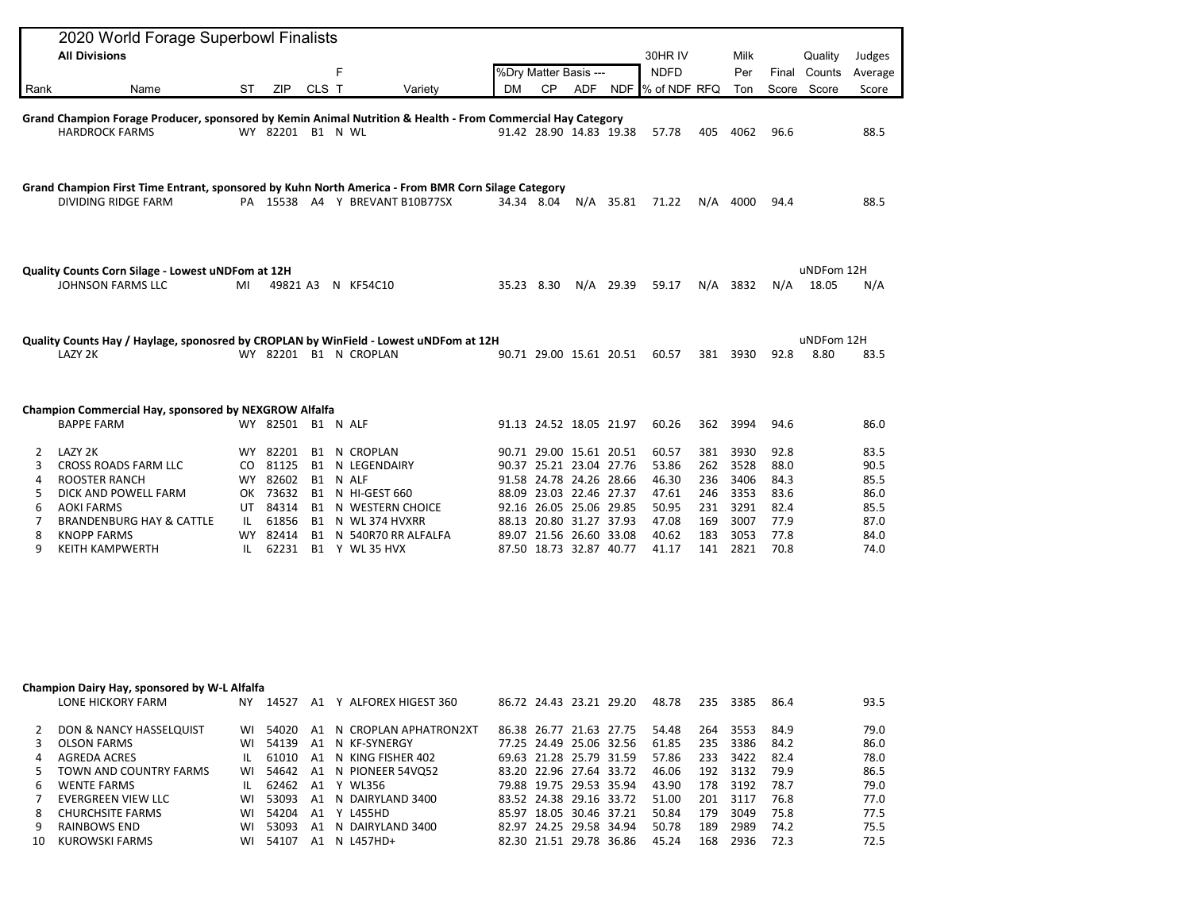|        | 2020 World Forage Superbowl Finalists                                                                                     |     |                   |       |   |                                                |           |                                                    |     |                         |                   |            |              |              |              |              |
|--------|---------------------------------------------------------------------------------------------------------------------------|-----|-------------------|-------|---|------------------------------------------------|-----------|----------------------------------------------------|-----|-------------------------|-------------------|------------|--------------|--------------|--------------|--------------|
|        | <b>All Divisions</b>                                                                                                      |     |                   |       |   |                                                |           |                                                    |     |                         | 30HR IV           |            | Milk         |              | Quality      | Judges       |
|        |                                                                                                                           |     |                   |       | F |                                                |           | %Dry Matter Basis ---                              |     |                         | <b>NDFD</b>       |            | Per          |              | Final Counts | Average      |
| Rank   | Name                                                                                                                      | ST  | ZIP               | CLS T |   | Variety                                        | <b>DM</b> | <b>CP</b>                                          | ADF |                         | NDF  % of NDF RFQ |            | Ton          |              | Score Score  | Score        |
|        | Grand Champion Forage Producer, sponsored by Kemin Animal Nutrition & Health - From Commercial Hay Category               |     |                   |       |   |                                                |           |                                                    |     |                         |                   |            |              |              |              |              |
|        | <b>HARDROCK FARMS</b>                                                                                                     |     | WY 82201 B1 N WL  |       |   |                                                |           | 91.42 28.90 14.83 19.38                            |     |                         | 57.78             | 405        | 4062         | 96.6         |              | 88.5         |
|        |                                                                                                                           |     |                   |       |   |                                                |           |                                                    |     |                         |                   |            |              |              |              |              |
|        |                                                                                                                           |     |                   |       |   |                                                |           |                                                    |     |                         |                   |            |              |              |              |              |
|        | Grand Champion First Time Entrant, sponsored by Kuhn North America - From BMR Corn Silage Category<br>DIVIDING RIDGE FARM |     |                   |       |   | PA 15538 A4 Y BREVANT B10B77SX                 |           | 34.34 8.04                                         |     |                         | 71.22             |            | N/A 4000     | 94.4         |              | 88.5         |
|        |                                                                                                                           |     |                   |       |   |                                                |           |                                                    |     | N/A 35.81               |                   |            |              |              |              |              |
|        |                                                                                                                           |     |                   |       |   |                                                |           |                                                    |     |                         |                   |            |              |              |              |              |
|        | Quality Counts Corn Silage - Lowest uNDFom at 12H                                                                         |     |                   |       |   |                                                |           |                                                    |     |                         |                   |            |              |              | uNDFom 12H   |              |
|        | <b>JOHNSON FARMS LLC</b>                                                                                                  | MI  |                   |       |   | 49821 A3 N KF54C10                             |           | 35.23 8.30                                         |     | $N/A$ 29.39             | 59.17             |            | $N/A$ 3832   | N/A          | 18.05        | N/A          |
|        |                                                                                                                           |     |                   |       |   |                                                |           |                                                    |     |                         |                   |            |              |              |              |              |
|        | Quality Counts Hay / Haylage, sponosred by CROPLAN by WinField - Lowest uNDFom at 12H                                     |     |                   |       |   |                                                |           |                                                    |     |                         |                   |            |              |              | uNDFom 12H   |              |
|        | LAZY 2K                                                                                                                   |     |                   |       |   | WY 82201 B1 N CROPLAN                          |           |                                                    |     | 90.71 29.00 15.61 20.51 | 60.57             |            | 381 3930     | 92.8         | 8.80         | 83.5         |
|        |                                                                                                                           |     |                   |       |   |                                                |           |                                                    |     |                         |                   |            |              |              |              |              |
|        | Champion Commercial Hay, sponsored by NEXGROW Alfalfa                                                                     |     |                   |       |   |                                                |           |                                                    |     |                         |                   |            |              |              |              |              |
|        | <b>BAPPE FARM</b>                                                                                                         |     | WY 82501 B1 N ALF |       |   |                                                |           | 91.13 24.52 18.05 21.97                            |     |                         | 60.26             | 362        | 3994         | 94.6         |              | 86.0         |
| 2      | LAZY 2K                                                                                                                   | WY. | 82201             |       |   | <b>B1 N CROPLAN</b>                            |           | 90.71 29.00 15.61 20.51                            |     |                         | 60.57             | 381        | 3930         | 92.8         |              | 83.5         |
| 3      | CROSS ROADS FARM LLC                                                                                                      |     | CO 81125          |       |   | <b>B1 N LEGENDAIRY</b>                         |           | 90.37 25.21 23.04 27.76                            |     |                         | 53.86             | 262        | 3528         | 88.0         |              | 90.5         |
| 4      | ROOSTER RANCH                                                                                                             |     | WY 82602          |       |   | B1 N ALF                                       |           | 91.58 24.78 24.26 28.66                            |     |                         | 46.30             | 236        | 3406         | 84.3         |              | 85.5         |
| 5      | DICK AND POWELL FARM                                                                                                      |     | OK 73632          |       |   | B1 N HI-GEST 660                               |           | 88.09 23.03 22.46 27.37                            |     |                         | 47.61             | 246        | 3353         | 83.6         |              | 86.0         |
| 6      | <b>AOKI FARMS</b>                                                                                                         | UT  | 84314             |       |   | <b>B1 N WESTERN CHOICE</b>                     |           | 92.16 26.05 25.06 29.85                            |     |                         | 50.95             | 231        | 3291         | 82.4         |              | 85.5         |
| 7      | <b>BRANDENBURG HAY &amp; CATTLE</b>                                                                                       | IL  | 61856             |       |   | B1 N WL 374 HVXRR                              |           | 88.13 20.80 31.27 37.93                            |     |                         | 47.08             | 169        | 3007         | 77.9         |              | 87.0         |
| 8<br>9 | <b>KNOPP FARMS</b><br><b>KEITH KAMPWERTH</b>                                                                              | IL. | WY 82414          |       |   | B1 N 540R70 RR ALFALFA<br>62231 B1 Y WL 35 HVX |           | 89.07 21.56 26.60 33.08<br>87.50 18.73 32.87 40.77 |     |                         | 40.62<br>41.17    | 183<br>141 | 3053<br>2821 | 77.8<br>70.8 |              | 84.0<br>74.0 |
|        |                                                                                                                           |     |                   |       |   |                                                |           |                                                    |     |                         |                   |            |              |              |              |              |
|        |                                                                                                                           |     |                   |       |   |                                                |           |                                                    |     |                         |                   |            |              |              |              |              |
|        |                                                                                                                           |     |                   |       |   |                                                |           |                                                    |     |                         |                   |            |              |              |              |              |
|        | Champion Dairy Hay, sponsored by W-L Alfalfa                                                                              |     |                   |       |   |                                                |           |                                                    |     |                         |                   |            |              |              |              |              |
|        | LONE HICKORY FARM NY 14527 A1 Y ALFOREX HIGEST 360                                                                        |     |                   |       |   |                                                |           |                                                    |     | 86.72 24.43 23.21 29.20 | 48.78             |            | 235 3385     | 86.4         |              | 93.5         |
| 2      | DON & NANCY HASSELQUIST                                                                                                   | WI  |                   |       |   | 54020 A1 N CROPLAN APHATRON2XT                 |           | 86.38 26.77 21.63 27.75                            |     |                         | 54.48             | 264        | 3553         | 84.9         |              | 79.0         |
| 3      | <b>OLSON FARMS</b>                                                                                                        |     |                   |       |   | WI 54139 A1 N KF-SYNERGY                       |           | 77.25 24.49 25.06 32.56                            |     |                         | 61.85             | 235        | 3386         | 84.2         |              | 86.0         |
| 4      | <b>AGREDA ACRES</b>                                                                                                       |     |                   |       |   | IL 61010 A1 N KING FISHER 402                  |           | 69.63 21.28 25.79 31.59                            |     |                         | 57.86             | 233        | 3422         | 82.4         |              | 78.0         |
| 5      | TOWN AND COUNTRY FARMS                                                                                                    |     |                   |       |   | WI 54642 A1 N PIONEER 54VQ52                   |           | 83.20 22.96 27.64 33.72                            |     |                         | 46.06             | 192        | 3132         | 79.9         |              | 86.5         |
| 6      | <b>WENTE FARMS</b>                                                                                                        | IL. | 62462 A1 Y WL356  |       |   |                                                |           | 79.88 19.75 29.53 35.94                            |     |                         | 43.90             | 178        | 3192         | 78.7         |              | 79.0         |
| 7<br>8 | <b>EVERGREEN VIEW LLC</b>                                                                                                 | WI  | 53093<br>54204    |       |   | A1 N DAIRYLAND 3400                            |           | 83.52 24.38 29.16 33.72                            |     |                         | 51.00             | 201<br>179 | 3117<br>3049 | 76.8         |              | 77.0         |
| 9      | <b>CHURCHSITE FARMS</b><br>RAINBOWS END                                                                                   | WI  |                   |       |   | A1 Y L455HD<br>WI 53093 A1 N DAIRYLAND 3400    |           | 85.97 18.05 30.46 37.21<br>82.97 24.25 29.58 34.94 |     |                         | 50.84<br>50.78    |            | 189 2989     | 75.8<br>74.2 |              | 77.5<br>75.5 |
|        |                                                                                                                           |     |                   |       |   |                                                |           |                                                    |     |                         |                   |            |              |              |              |              |

9 RAINBOWS END WI 53093 A1 N DAIRYLAND 3400 82.97 24.25 29.58 34.94 50.78 189 2989 74.2 75.5

82.30 21.51 29.78 36.86 45.24 168 2936 72.3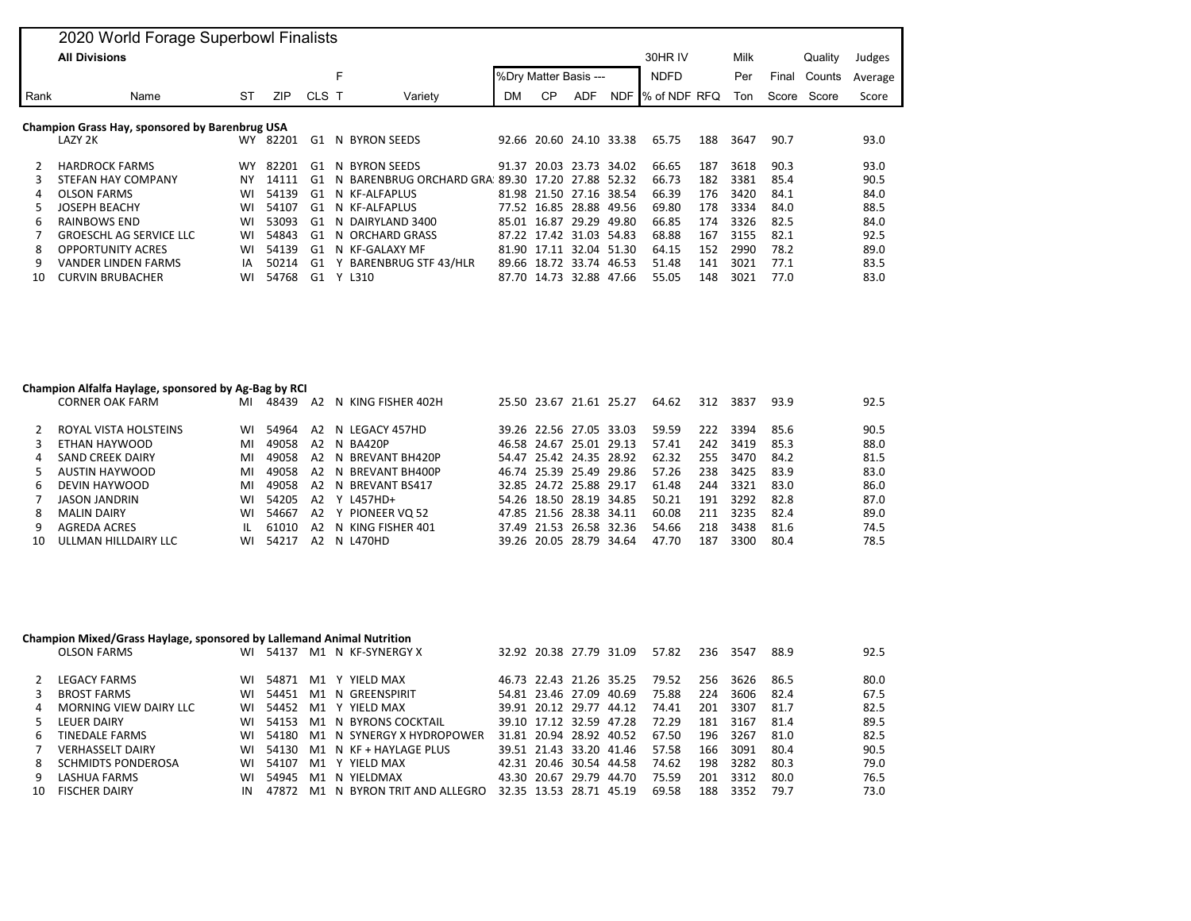| 2020 World Forage Superbowl Finalists          |                                |           |            |       |                             |                       |           |                         |             |              |         |       |        |             |        |
|------------------------------------------------|--------------------------------|-----------|------------|-------|-----------------------------|-----------------------|-----------|-------------------------|-------------|--------------|---------|-------|--------|-------------|--------|
|                                                | <b>All Divisions</b>           |           |            |       |                             |                       |           |                         |             |              | 30HR IV |       |        | Quality     | Judges |
|                                                |                                |           |            |       | F                           | %Dry Matter Basis --- |           |                         | <b>NDFD</b> |              | Per     | Final | Counts | Average     |        |
| Rank                                           | Name                           | ST        | <b>ZIP</b> | CLS T | Variety                     | DM                    | <b>CP</b> | <b>ADF</b>              | NDF         | % of NDF RFQ |         | Ton   |        | Score Score | Score  |
| Champion Grass Hay, sponsored by Barenbrug USA |                                |           |            |       |                             |                       |           |                         |             |              |         |       |        |             |        |
|                                                | LAZY 2K                        | <b>WY</b> | 82201      | G1    | N BYRON SEEDS               | 92.66                 |           | 20.60 24.10 33.38       |             | 65.75        | 188     | 3647  | 90.7   |             | 93.0   |
| 2                                              | <b>HARDROCK FARMS</b>          | <b>WY</b> | 82201      | G1    | N BYRON SEEDS               | 91.37                 |           | 20.03 23.73 34.02       |             | 66.65        | 187     | 3618  | 90.3   |             | 93.0   |
|                                                | <b>STEFAN HAY COMPANY</b>      | ΝY        | 14111      | G1    | BARENBRUG ORCHARD GRA<br>N. | 89.30                 | 17.20     | 27.88 52.32             |             | 66.73        | 182     | 3381  | 85.4   |             | 90.5   |
| 4                                              | <b>OLSON FARMS</b>             | WI        | 54139      | G1    | N KF-ALFAPLUS               |                       |           | 81.98 21.50 27.16 38.54 |             | 66.39        | 176     | 3420  | 84.1   |             | 84.0   |
| 5                                              | JOSEPH BEACHY                  | WI        | 54107      | G1    | N KF-ALFAPLUS               |                       |           | 77.52 16.85 28.88 49.56 |             | 69.80        | 178     | 3334  | 84.0   |             | 88.5   |
| 6                                              | RAINBOWS END                   | WI        | 53093      | G1    | N DAIRYLAND 3400            | 85.01                 | 16.87     | 29.29                   | 49.80       | 66.85        | 174     | 3326  | 82.5   |             | 84.0   |
|                                                | <b>GROESCHL AG SERVICE LLC</b> | WI        | 54843      | G1    | N ORCHARD GRASS             |                       |           | 87.22 17.42 31.03 54.83 |             | 68.88        | 167     | 3155  | 82.1   |             | 92.5   |
| 8                                              | <b>OPPORTUNITY ACRES</b>       | WI        | 54139      | G1    | N KF-GALAXY MF              | 81.90 17.11           |           | 32.04 51.30             |             | 64.15        | 152     | 2990  | 78.2   |             | 89.0   |
| q                                              | <b>VANDER LINDEN FARMS</b>     | IA        | 50214      | G1    | <b>BARENBRUG STF 43/HLR</b> | 89.66                 |           | 18.72 33.74 46.53       |             | 51.48        | 141     | 3021  | 77.1   |             | 83.5   |
| 10                                             | <b>CURVIN BRUBACHER</b>        | WI        | 54768      | G1    | L310<br>v.                  |                       |           | 87.70 14.73 32.88 47.66 |             | 55.05        | 148     | 3021  | 77.0   |             | 83.0   |

## **Champion Alfalfa Haylage, sponsored by Ag-Bag by RCI**

| CORNER OAK FARM       | MI                                                                                                                   | 48439 | A2 |       |                                                                                                                                                                                                         |  |                   | 64.62                                                                                                                                                                                                                                                    | 312 | 3837 | 93.9                                     | 92.5 |
|-----------------------|----------------------------------------------------------------------------------------------------------------------|-------|----|-------|---------------------------------------------------------------------------------------------------------------------------------------------------------------------------------------------------------|--|-------------------|----------------------------------------------------------------------------------------------------------------------------------------------------------------------------------------------------------------------------------------------------------|-----|------|------------------------------------------|------|
| ROYAL VISTA HOLSTEINS | WI.                                                                                                                  | 54964 |    |       |                                                                                                                                                                                                         |  |                   | 59.59                                                                                                                                                                                                                                                    | 222 |      | 85.6                                     | 90.5 |
|                       | MI                                                                                                                   | 49058 |    |       |                                                                                                                                                                                                         |  |                   | 57.41                                                                                                                                                                                                                                                    | 242 |      | 85.3                                     | 88.0 |
| SAND CREEK DAIRY      | ML                                                                                                                   |       |    |       |                                                                                                                                                                                                         |  |                   | 62.32                                                                                                                                                                                                                                                    | 255 | 3470 | 84.2                                     | 81.5 |
|                       | ML                                                                                                                   | 49058 |    |       |                                                                                                                                                                                                         |  |                   | 57.26                                                                                                                                                                                                                                                    | 238 | 3425 | 83.9                                     | 83.0 |
| DEVIN HAYWOOD         | MI                                                                                                                   | 49058 |    |       |                                                                                                                                                                                                         |  |                   | 61.48                                                                                                                                                                                                                                                    | 244 |      | 83.0                                     | 86.0 |
| <b>JASON JANDRIN</b>  | WI.                                                                                                                  | 54205 |    |       |                                                                                                                                                                                                         |  |                   | 50.21                                                                                                                                                                                                                                                    | 191 |      | 82.8                                     | 87.0 |
| MALIN DAIRY           | WI                                                                                                                   | 54667 |    |       |                                                                                                                                                                                                         |  |                   | 60.08                                                                                                                                                                                                                                                    |     |      | 82.4                                     | 89.0 |
| AGREDA ACRES          | $\mathbf{H}$                                                                                                         | 61010 |    |       |                                                                                                                                                                                                         |  |                   | 54.66                                                                                                                                                                                                                                                    | 218 | 3438 | 81.6                                     | 74.5 |
|                       | WI.                                                                                                                  | 54217 |    |       |                                                                                                                                                                                                         |  |                   | 47.70                                                                                                                                                                                                                                                    | 187 | 3300 | 80.4                                     | 78.5 |
|                       | $\mathcal{P}$<br>3 ETHAN HAYWOOD<br>4<br>5 AUSTIN HAYWOOD<br>რ —<br>$7^{\circ}$<br>8<br>9<br>10 ULLMAN HILLDAIRY LLC |       |    | 49058 | N KING FISHER 402H<br>A2 N LEGACY 457HD<br>A2 N BA420P<br>A2 N BREVANT BH420P<br>A2 N BREVANT BH400P<br>A2 N BREVANT BS417<br>A2 Y L457HD+<br>A2 Y PIONEER VO 52<br>A2 N KING FISHER 401<br>A2 N L470HD |  | 25.50 23.67 21.61 | 25.27<br>39.26 22.56 27.05 33.03<br>46.58 24.67 25.01 29.13<br>54.47 25.42 24.35 28.92<br>46.74 25.39 25.49 29.86<br>32.85 24.72 25.88 29.17<br>54.26 18.50 28.19 34.85<br>47.85 21.56 28.38 34.11<br>37.49 21.53 26.58 32.36<br>39.26 20.05 28.79 34.64 |     |      | 3394<br>3419<br>3321<br>3292<br>211 3235 |      |

## **Champion Mixed/Grass Haylage, sponsored by Lallemand Animal Nutrition**

|   | <b>OLSON FARMS</b>        | WI        | 54137 | M1 N KF-SYNERGY X               |                         | 32.92 20.38 27.79 31.09 |                         | 57.82 | 236 | 3547 | 88.9 | 92.5 |
|---|---------------------------|-----------|-------|---------------------------------|-------------------------|-------------------------|-------------------------|-------|-----|------|------|------|
|   | <b>LEGACY FARMS</b>       | WI        |       | 54871 M1 Y YIELD MAX            |                         |                         | 46.73 22.43 21.26 35.25 | 79.52 | 256 | 3626 | 86.5 | 80.0 |
|   | <b>BROST FARMS</b>        | WI        |       | 54451 M1 N GREENSPIRIT          |                         | 54.81 23.46 27.09 40.69 |                         | 75.88 | 224 | 3606 | 82.4 | 67.5 |
|   | MORNING VIEW DAIRY LLC    | WI        |       | 54452 M1 Y YIELD MAX            |                         | 39.91 20.12 29.77 44.12 |                         | 74.41 | 201 | 3307 | 81.7 | 82.5 |
|   | LEUER DAIRY               | WI        |       | 54153 M1 N BYRONS COCKTAIL      |                         | 39.10 17.12 32.59 47.28 |                         | 72.29 | 181 | 3167 | 81.4 | 89.5 |
| 6 | TINEDALE FARMS            | <b>WI</b> |       | 54180 M1 N SYNERGY X HYDROPOWER |                         | 31.81 20.94 28.92 40.52 |                         | 67.50 | 196 | 3267 | 81.0 | 82.5 |
|   | <b>VERHASSELT DAIRY</b>   | WI        |       | 54130 M1 N KF + HAYLAGE PLUS    |                         | 39.51 21.43 33.20 41.46 |                         | 57.58 | 166 | 3091 | 80.4 | 90.5 |
| 8 | <b>SCHMIDTS PONDEROSA</b> | WI        | 54107 | M1 Y YIELD MAX                  |                         | 42.31 20.46 30.54 44.58 |                         | 74.62 | 198 | 3282 | 80.3 | 79.0 |
|   | LASHUA FARMS              | WI        |       | 54945 M1 N YIELDMAX             |                         | 43.30 20.67 29.79 44.70 |                         | 75.59 | 201 | 3312 | 80.O | 76.5 |
|   | 10 FISCHER DAIRY          |           | 47872 | M1 N BYRON TRIT AND ALLEGRO     | 32.35 13.53 28.71 45.19 |                         |                         | 69.58 | 188 | 3352 | 79.7 | 73.0 |